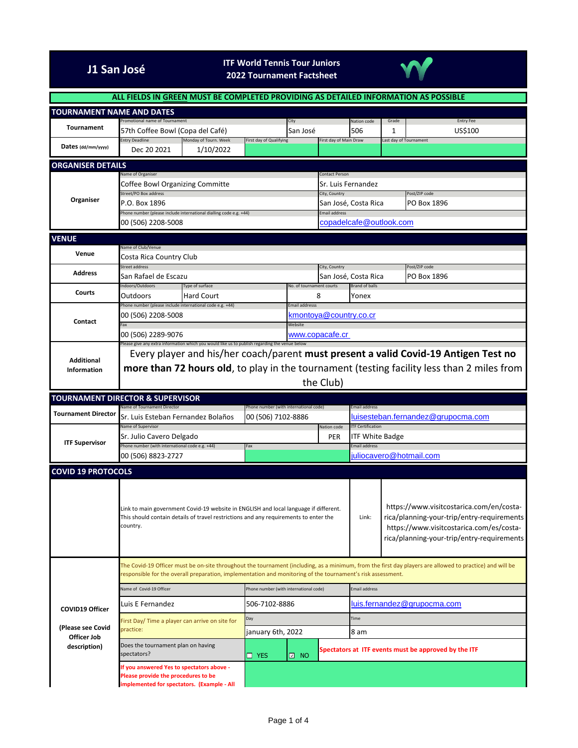## **J1 San José ITF World Tennis Tour Juniors**



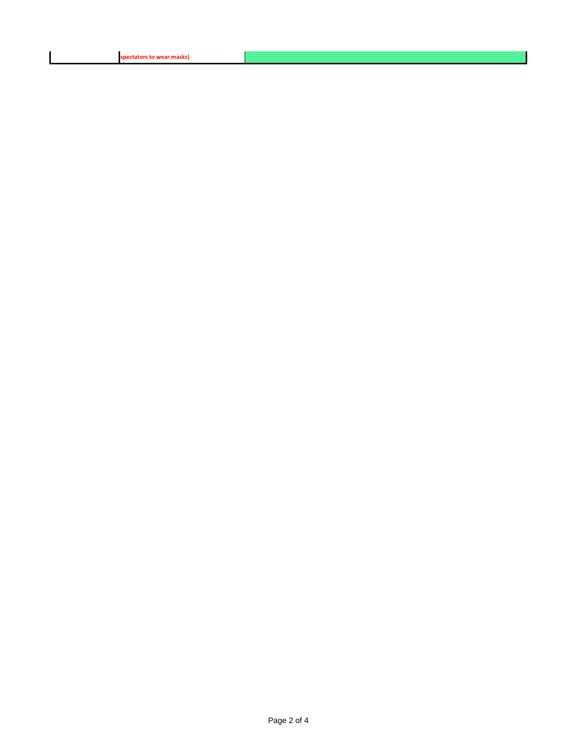| spectators to wear masks) |  |  |
|---------------------------|--|--|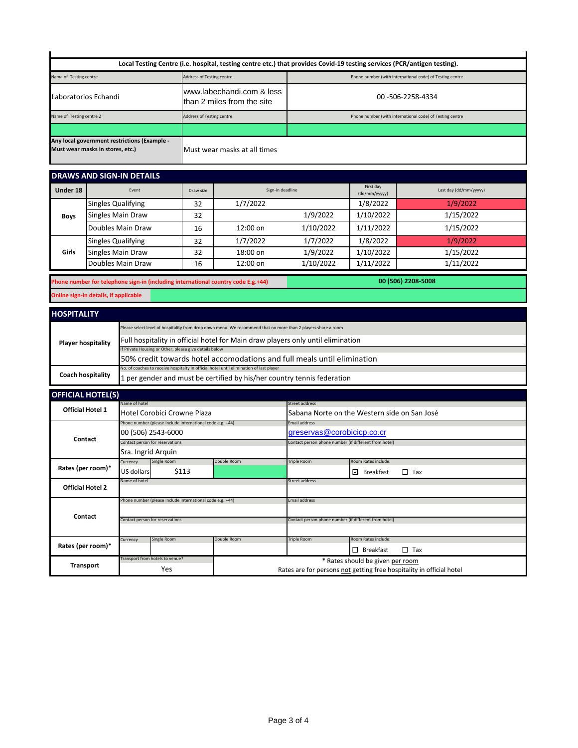|                           |                                       |                                                                                                                                                           |                                                                                         | Local Testing Centre (i.e. hospital, testing centre etc.) that provides Covid-19 testing services (PCR/antigen testing). |                                                          |                                                                       |                        |  |
|---------------------------|---------------------------------------|-----------------------------------------------------------------------------------------------------------------------------------------------------------|-----------------------------------------------------------------------------------------|--------------------------------------------------------------------------------------------------------------------------|----------------------------------------------------------|-----------------------------------------------------------------------|------------------------|--|
| Name of Testing centre    |                                       | <b>Address of Testing centre</b>                                                                                                                          |                                                                                         |                                                                                                                          |                                                          | Phone number (with international code) of Testing centre              |                        |  |
| Laboratorios Echandi      |                                       |                                                                                                                                                           | www.labechandi.com & less<br>than 2 miles from the site                                 | 00 - 506 - 2258 - 4334                                                                                                   |                                                          |                                                                       |                        |  |
| Name of Testing centre 2  |                                       |                                                                                                                                                           | Address of Testing centre                                                               |                                                                                                                          | Phone number (with international code) of Testing centre |                                                                       |                        |  |
|                           |                                       |                                                                                                                                                           |                                                                                         |                                                                                                                          |                                                          |                                                                       |                        |  |
|                           | Must wear masks in stores, etc.)      | Any local government restrictions (Example -                                                                                                              |                                                                                         | Must wear masks at all times                                                                                             |                                                          |                                                                       |                        |  |
|                           |                                       | <b>DRAWS AND SIGN-IN DETAILS</b>                                                                                                                          |                                                                                         |                                                                                                                          |                                                          |                                                                       |                        |  |
| Under 18                  |                                       | Event                                                                                                                                                     | Draw size                                                                               | Sign-in deadline                                                                                                         |                                                          | First day<br>(dd/mm/yyyyy)                                            | Last day (dd/mm/yyyyy) |  |
|                           | <b>Singles Qualifying</b>             |                                                                                                                                                           | 32                                                                                      | 1/7/2022                                                                                                                 |                                                          | 1/8/2022                                                              | 1/9/2022               |  |
| <b>Boys</b>               |                                       | Singles Main Draw                                                                                                                                         | 32                                                                                      | 1/9/2022                                                                                                                 |                                                          | 1/10/2022                                                             | 1/15/2022              |  |
|                           |                                       | Doubles Main Draw                                                                                                                                         | 16                                                                                      | 12:00 on                                                                                                                 | 1/10/2022                                                | 1/11/2022                                                             | 1/15/2022              |  |
|                           | <b>Singles Qualifying</b>             |                                                                                                                                                           | 32                                                                                      | 1/7/2022                                                                                                                 | 1/7/2022                                                 | 1/8/2022                                                              | 1/9/2022               |  |
| Girls                     | Singles Main Draw                     |                                                                                                                                                           | 32                                                                                      | 18:00 on                                                                                                                 | 1/9/2022                                                 | 1/10/2022                                                             | 1/15/2022              |  |
|                           |                                       | Doubles Main Draw                                                                                                                                         | 16                                                                                      | 12:00 on                                                                                                                 | 1/10/2022                                                | 1/11/2022                                                             | 1/11/2022              |  |
|                           |                                       |                                                                                                                                                           | Phone number for telephone sign-in (including international country code E.g.+44)       |                                                                                                                          |                                                          |                                                                       | 00 (506) 2208-5008     |  |
|                           | Online sign-in details, if applicable |                                                                                                                                                           |                                                                                         |                                                                                                                          |                                                          |                                                                       |                        |  |
|                           |                                       |                                                                                                                                                           |                                                                                         |                                                                                                                          |                                                          |                                                                       |                        |  |
| <b>HOSPITALITY</b>        |                                       |                                                                                                                                                           |                                                                                         |                                                                                                                          |                                                          |                                                                       |                        |  |
|                           |                                       |                                                                                                                                                           |                                                                                         | Please select level of hospitality from drop down menu. We recommend that no more than 2 players share a room            |                                                          |                                                                       |                        |  |
| <b>Player hospitality</b> |                                       |                                                                                                                                                           | Full hospitality in official hotel for Main draw players only until elimination         |                                                                                                                          |                                                          |                                                                       |                        |  |
|                           |                                       | If Private Housing or Other, please give details below<br>50% credit towards hotel accomodations and full meals until elimination                         |                                                                                         |                                                                                                                          |                                                          |                                                                       |                        |  |
|                           |                                       |                                                                                                                                                           | No. of coaches to receive hospitalty in official hotel until elimination of last player |                                                                                                                          |                                                          |                                                                       |                        |  |
| <b>Coach hospitality</b>  |                                       |                                                                                                                                                           | 1 per gender and must be certified by his/her country tennis federation                 |                                                                                                                          |                                                          |                                                                       |                        |  |
|                           | <b>OFFICIAL HOTEL(S)</b>              |                                                                                                                                                           |                                                                                         |                                                                                                                          |                                                          |                                                                       |                        |  |
|                           | <b>Official Hotel 1</b>               | Name of hotel                                                                                                                                             |                                                                                         |                                                                                                                          | Street address                                           |                                                                       |                        |  |
|                           |                                       | Hotel Corobici Crowne Plaza<br>Sabana Norte on the Western side on San José<br>Phone number (please include international code e.g. +44)<br>Email address |                                                                                         |                                                                                                                          |                                                          |                                                                       |                        |  |
| Contact                   |                                       | 00 (506) 2543-6000                                                                                                                                        |                                                                                         |                                                                                                                          | greservas@corobicicp.co.cr                               |                                                                       |                        |  |
|                           |                                       |                                                                                                                                                           | Contact person for reservations                                                         |                                                                                                                          |                                                          | Contact person phone number (if different from hotel)                 |                        |  |
|                           |                                       | Sra. Ingrid Arquin                                                                                                                                        |                                                                                         |                                                                                                                          |                                                          |                                                                       |                        |  |
|                           | Rates (per room)*                     | Currency<br>US dollars                                                                                                                                    | Single Room<br>\$113                                                                    | Double Room                                                                                                              | Triple Room                                              | Room Rates include:<br>$\vert \underline{\mathsf{v}} \vert$ Breakfast | $\Box$ Tax             |  |
|                           |                                       | Name of hotel                                                                                                                                             |                                                                                         |                                                                                                                          | Street address                                           |                                                                       |                        |  |
|                           | <b>Official Hotel 2</b>               |                                                                                                                                                           |                                                                                         |                                                                                                                          |                                                          |                                                                       |                        |  |
| Contact                   |                                       |                                                                                                                                                           | hone number (please include international code e.g. +44)                                |                                                                                                                          | Email address                                            |                                                                       |                        |  |
|                           |                                       | Contact person for reservations                                                                                                                           |                                                                                         |                                                                                                                          | Contact person phone number (if different from hotel)    |                                                                       |                        |  |
|                           |                                       |                                                                                                                                                           |                                                                                         |                                                                                                                          |                                                          |                                                                       |                        |  |
|                           | Rates (per room)*                     | Currency                                                                                                                                                  | Single Room                                                                             | Double Room                                                                                                              | Triple Room                                              | Room Rates include:                                                   |                        |  |
|                           |                                       |                                                                                                                                                           |                                                                                         |                                                                                                                          |                                                          | $\Box$ Breakfast                                                      | $\Box$ Tax             |  |
|                           | <b>Transport</b>                      | Transport from hotels to venue?                                                                                                                           | Yes                                                                                     | * Rates should be given per room                                                                                         |                                                          |                                                                       |                        |  |
|                           |                                       |                                                                                                                                                           |                                                                                         | Rates are for persons not getting free hospitality in official hotel                                                     |                                                          |                                                                       |                        |  |